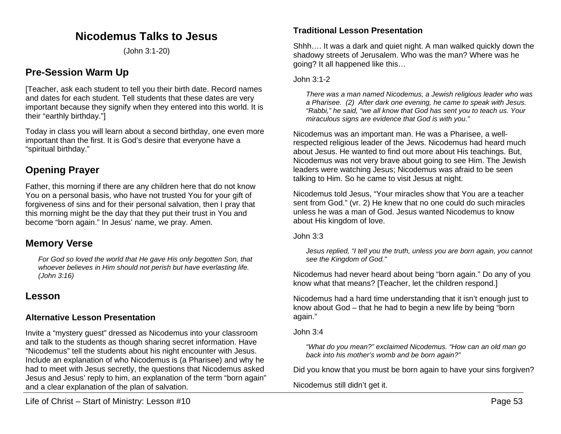# **Nicodemus Talks to Jesus**

(John 3:1-20)

# **Pre-Session Warm Up**

[Teacher, ask each student to tell you their birth date. Record names and dates for each student. Tell students that these dates are very important because they signify when they entered into this world. It is their "earthly birthday."]

Today in class you will learn about a second birthday, one even more important than the first. It is God's desire that everyone have a "spiritual birthday."

# **Opening Prayer**

Father, this morning if there are any children here that do not know You on a personal basis, who have not trusted You for your gift of forgiveness of sins and for their personal salvation, then I pray that this morning might be the day that they put their trust in You and become "born again." In Jesus' name, we pray. Amen.

# **Memory Verse**

*For God so loved the world that He gave His only begotten Son, that whoever believes in Him should not perish but have everlasting life. (John 3:16)*

# **Lesson**

## **Alternative Lesson Presentation**

Invite a "mystery guest" dressed as Nicodemus into your classroom and talk to the students as though sharing secret information. Have "Nicodemus" tell the students about his night encounter with Jesus. Include an explanation of who Nicodemus is (a Pharisee) and why he had to meet with Jesus secretly, the questions that Nicodemus asked Jesus and Jesus' reply to him, an explanation of the term "born again" and a clear explanation of the plan of salvation.

## **Traditional Lesson Presentation**

Shhh…. It was a dark and quiet night. A man walked quickly down the shadowy streets of Jerusalem. Who was the man? Where was he going? It all happened like this…

### John 3:1-2

*There was a man named Nicodemus, a Jewish religious leader who was a Pharisee. (2) After dark one evening, he came to speak with Jesus. "Rabbi," he said, "we all know that God has sent you to teach us. Your miraculous signs are evidence that God is with you."*

Nicodemus was an important man. He was a Pharisee, a wellrespected religious leader of the Jews. Nicodemus had heard much about Jesus. He wanted to find out more about His teachings. But, Nicodemus was not very brave about going to see Him. The Jewish leaders were watching Jesus; Nicodemus was afraid to be seen talking to Him. So he came to visit Jesus at night.

Nicodemus told Jesus, "Your miracles show that You are a teacher sent from God." (vr. 2) He knew that no one could do such miracles unless he was a man of God. Jesus wanted Nicodemus to know about His kingdom of love.

John 3:3

*Jesus replied, "I tell you the truth, unless you are born again, you cannot see the Kingdom of God."*

Nicodemus had never heard about being "born again." Do any of you know what that means? [Teacher, let the children respond.]

Nicodemus had a hard time understanding that it isn't enough just to know about God – that he had to begin a new life by being "born again."

John 3:4

*"What do you mean?" exclaimed Nicodemus. "How can an old man go back into his mother's womb and be born again?"*

Did you know that you must be born again to have your sins forgiven?

Nicodemus still didn't get it.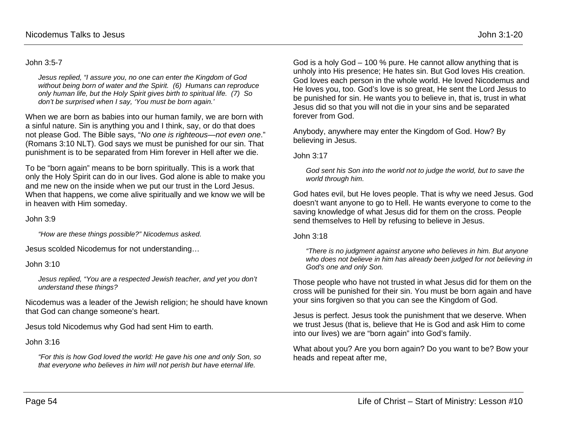### John 3:5-7

*Jesus replied, "I assure you, no one can enter the Kingdom of God without being born of water and the Spirit. (6) Humans can reproduce only human life, but the Holy Spirit gives birth to spiritual life. (7) So don't be surprised when I say, 'You must be born again.'*

When we are born as babies into our human family, we are born with a sinful nature. Sin is anything you and I think, say, or do that does not please God. The Bible says, "*No one is righteous—not even one*." (Romans 3:10 NLT). God says we must be punished for our sin. That punishment is to be separated from Him forever in Hell after we die.

To be "born again" means to be born spiritually. This is a work that only the Holy Spirit can do in our lives. God alone is able to make you and me new on the inside when we put our trust in the Lord Jesus. When that happens, we come alive spiritually and we know we will be in heaven with Him someday.

John 3:9

*"How are these things possible?" Nicodemus asked.*

Jesus scolded Nicodemus for not understanding…

John 3:10

*Jesus replied, "You are a respected Jewish teacher, and yet you don't understand these things?*

Nicodemus was a leader of the Jewish religion; he should have known that God can change someone's heart.

Jesus told Nicodemus why God had sent Him to earth.

#### John 3:16

*"For this is how God loved the world: He gave his one and only Son, so that everyone who believes in him will not perish but have eternal life.*

God is a holy God – 100 % pure. He cannot allow anything that is unholy into His presence; He hates sin. But God loves His creation. God loves each person in the whole world. He loved Nicodemus and He loves you, too. God's love is so great, He sent the Lord Jesus to be punished for sin. He wants you to believe in, that is, trust in what Jesus did so that you will not die in your sins and be separated forever from God.

Anybody, anywhere may enter the Kingdom of God. How? By believing in Jesus.

John 3:17

*God sent his Son into the world not to judge the world, but to save the world through him.*

God hates evil, but He loves people. That is why we need Jesus. God doesn't want anyone to go to Hell. He wants everyone to come to the saving knowledge of what Jesus did for them on the cross. People send themselves to Hell by refusing to believe in Jesus.

#### John 3:18

*"There is no judgment against anyone who believes in him. But anyone who does not believe in him has already been judged for not believing in God's one and only Son.* 

Those people who have not trusted in what Jesus did for them on the cross will be punished for their sin. You must be born again and have your sins forgiven so that you can see the Kingdom of God.

Jesus is perfect. Jesus took the punishment that we deserve. When we trust Jesus (that is, believe that He is God and ask Him to come into our lives) we are "born again" into God's family.

What about you? Are you born again? Do you want to be? Bow your heads and repeat after me,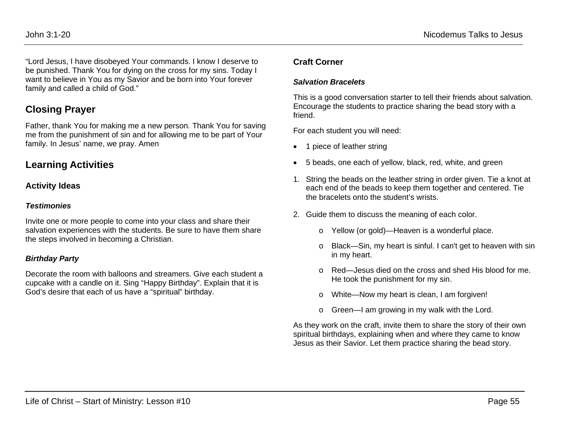"Lord Jesus, I have disobeyed Your commands. I know I deserve to be punished. Thank You for dying on the cross for my sins. Today I want to believe in You as my Savior and be born into Your forever family and called a child of God."

# **Closing Prayer**

Father, thank You for making me a new person. Thank You for saving me from the punishment of sin and for allowing me to be part of Your family. In Jesus' name, we pray. Amen

## **Learning Activities**

### **Activity Ideas**

#### *Testimonies*

Invite one or more people to come into your class and share their salvation experiences with the students. Be sure to have them share the steps involved in becoming a Christian.

### *Birthday Party*

Decorate the room with balloons and streamers. Give each student a cupcake with a candle on it. Sing "Happy Birthday". Explain that it is God's desire that each of us have a "spiritual" birthday.

### **Craft Corner**

### *Salvation Bracelets*

This is a good conversation starter to tell their friends about salvation. Encourage the students to practice sharing the bead story with a friend.

For each student you will need:

- 1 piece of leather string
- 5 beads, one each of yellow, black, red, white, and green
- 1. String the beads on the leather string in order given. Tie a knot at each end of the beads to keep them together and centered. Tie the bracelets onto the student's wrists.
- 2. Guide them to discuss the meaning of each color.
	- o Yellow (or gold)—Heaven is a wonderful place.
	- o Black—Sin, my heart is sinful. I can't get to heaven with sin in my heart.
	- o Red—Jesus died on the cross and shed His blood for me. He took the punishment for my sin.
	- o White—Now my heart is clean, I am forgiven!
	- o Green—I am growing in my walk with the Lord.

As they work on the craft, invite them to share the story of their own spiritual birthdays, explaining when and where they came to know Jesus as their Savior. Let them practice sharing the bead story.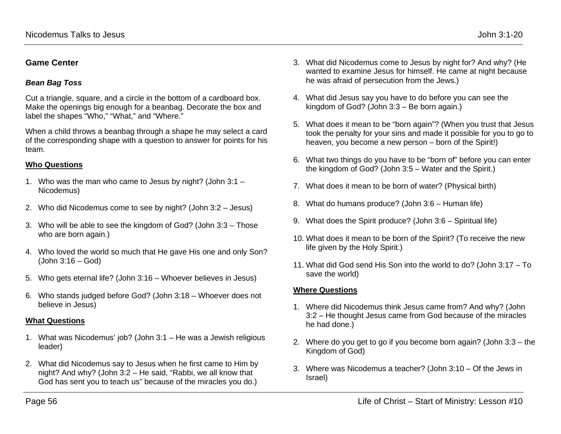## **Game Center**

## *Bean Bag Toss*

Cut a triangle, square, and a circle in the bottom of a cardboard box. Make the openings big enough for a beanbag. Decorate the box and label the shapes "Who," "What," and "Where."

When a child throws a beanbag through a shape he may select a card of the corresponding shape with a question to answer for points for his team.

## **Who Questions**

- 1. Who was the man who came to Jesus by night? (John 3:1 Nicodemus)
- 2. Who did Nicodemus come to see by night? (John 3:2 Jesus)
- 3. Who will be able to see the kingdom of God? (John 3:3 Those who are born again.)
- 4. Who loved the world so much that He gave His one and only Son? (John 3:16 – God)
- 5. Who gets eternal life? (John 3:16 Whoever believes in Jesus)
- 6. Who stands judged before God? (John 3:18 Whoever does not believe in Jesus)

## **What Questions**

- 1. What was Nicodemus' job? (John 3:1 He was a Jewish religious leader)
- 2. What did Nicodemus say to Jesus when he first came to Him by night? And why? (John 3:2 – He said, "Rabbi, we all know that God has sent you to teach us" because of the miracles you do.)
- 3. What did Nicodemus come to Jesus by night for? And why? (He wanted to examine Jesus for himself. He came at night because he was afraid of persecution from the Jews.)
- 4. What did Jesus say you have to do before you can see the kingdom of God? (John 3:3 – Be born again.)
- 5. What does it mean to be "born again"? (When you trust that Jesus took the penalty for your sins and made it possible for you to go to heaven, you become a new person – born of the Spirit!)
- 6. What two things do you have to be "born of" before you can enter the kingdom of God? (John 3:5 – Water and the Spirit.)
- 7. What does it mean to be born of water? (Physical birth)
- 8. What do humans produce? (John 3:6 Human life)
- 9. What does the Spirit produce? (John 3:6 Spiritual life)
- 10. What does it mean to be born of the Spirit? (To receive the new life given by the Holy Spirit.)
- 11. What did God send His Son into the world to do? (John 3:17 To save the world)

## **Where Questions**

- 1. Where did Nicodemus think Jesus came from? And why? (John 3:2 – He thought Jesus came from God because of the miracles he had done.)
- 2. Where do you get to go if you become born again? (John 3:3 the Kingdom of God)
- 3. Where was Nicodemus a teacher? (John 3:10 Of the Jews in Israel)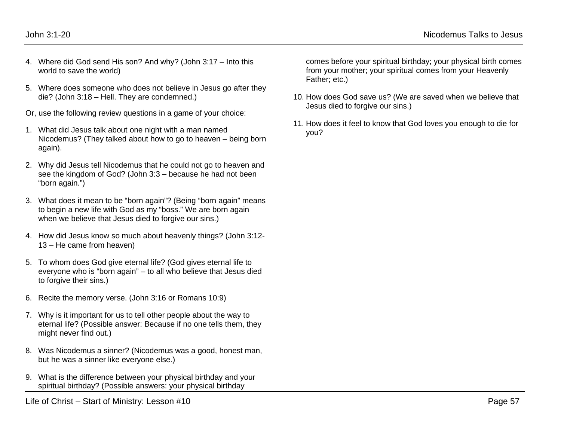- 4. Where did God send His son? And why? (John 3:17 Into this world to save the world)
- 5. Where does someone who does not believe in Jesus go after they die? (John 3:18 – Hell. They are condemned.)
- Or, use the following review questions in a game of your choice:
- 1. What did Jesus talk about one night with a man named Nicodemus? (They talked about how to go to heaven – being born again).
- 2. Why did Jesus tell Nicodemus that he could not go to heaven and see the kingdom of God? (John 3:3 – because he had not been "born again.")
- 3. What does it mean to be "born again"? (Being "born again" means to begin a new life with God as my "boss." We are born again when we believe that Jesus died to forgive our sins.)
- 4. How did Jesus know so much about heavenly things? (John 3:12- 13 – He came from heaven)
- 5. To whom does God give eternal life? (God gives eternal life to everyone who is "born again" – to all who believe that Jesus died to forgive their sins.)
- 6. Recite the memory verse. (John 3:16 or Romans 10:9)
- 7. Why is it important for us to tell other people about the way to eternal life? (Possible answer: Because if no one tells them, they might never find out.)
- 8. Was Nicodemus a sinner? (Nicodemus was a good, honest man, but he was a sinner like everyone else.)
- 9. What is the difference between your physical birthday and your spiritual birthday? (Possible answers: your physical birthday

comes before your spiritual birthday; your physical birth comes from your mother; your spiritual comes from your Heavenly Father; etc.)

- 10. How does God save us? (We are saved when we believe that Jesus died to forgive our sins.)
- 11. How does it feel to know that God loves you enough to die for you?